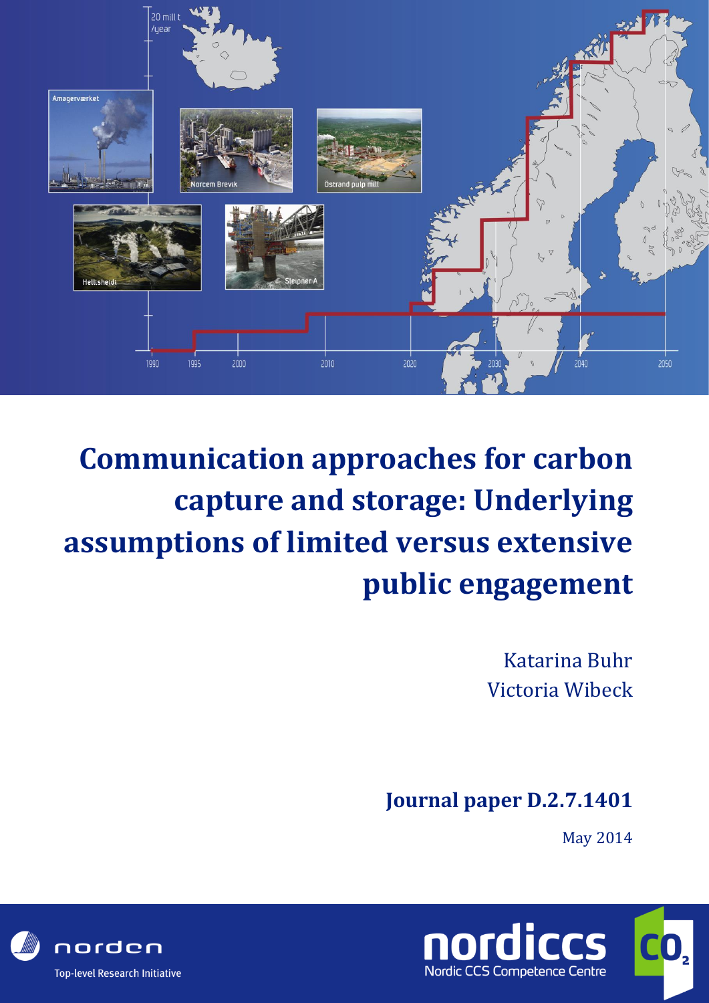

# **Communication approaches for carbon capture and storage: Underlying assumptions of limited versus extensive public engagement**

Katarina Buhr Victoria Wibeck

### **Journal paper D.2.7.1401**

May 2014



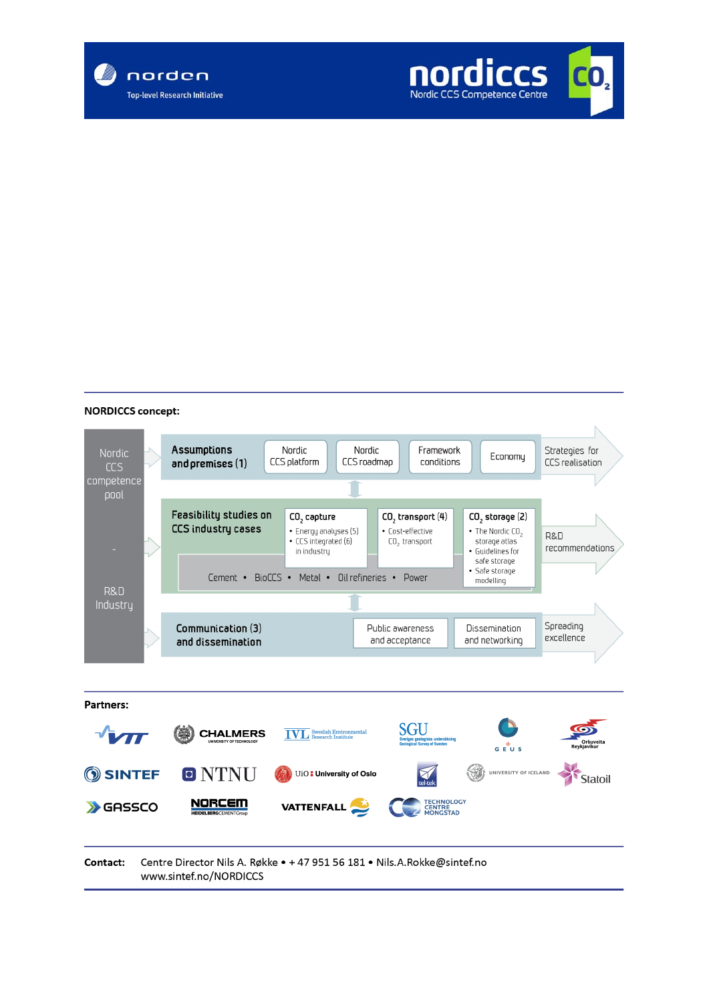



#### **NORDICCS concept:**